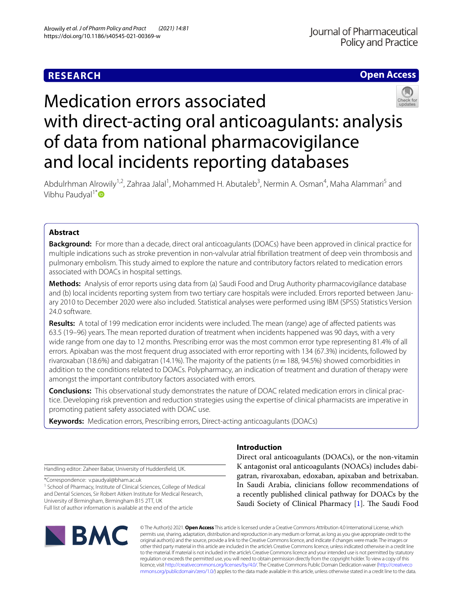## **RESEARCH**

## **Open Access**



# Medication errors associated with direct-acting oral anticoagulants: analysis of data from national pharmacovigilance and local incidents reporting databases

Abdulrhman Alrowily<sup>1,2</sup>, Zahraa Jalal<sup>1</sup>, Mohammed H. Abutaleb<sup>3</sup>, Nermin A. Osman<sup>4</sup>, Maha Alammari<sup>5</sup> and Vibhu Paudyal<sup>1[\\*](http://orcid.org/0000-0002-4173-6490)</sup> $\bullet$ 

## **Abstract**

**Background:** For more than a decade, direct oral anticoagulants (DOACs) have been approved in clinical practice for multiple indications such as stroke prevention in non-valvular atrial fbrillation treatment of deep vein thrombosis and pulmonary embolism. This study aimed to explore the nature and contributory factors related to medication errors associated with DOACs in hospital settings.

**Methods:** Analysis of error reports using data from (a) Saudi Food and Drug Authority pharmacovigilance database and (b) local incidents reporting system from two tertiary care hospitals were included. Errors reported between January 2010 to December 2020 were also included. Statistical analyses were performed using IBM (SPSS) Statistics Version 24.0 software.

**Results:** A total of 199 medication error incidents were included. The mean (range) age of afected patients was 63.5 (19–96) years. The mean reported duration of treatment when incidents happened was 90 days, with a very wide range from one day to 12 months. Prescribing error was the most common error type representing 81.4% of all errors. Apixaban was the most frequent drug associated with error reporting with 134 (67.3%) incidents, followed by rivaroxaban (18.6%) and dabigatran (14.1%). The majority of the patients (*n*=188, 94.5%) showed comorbidities in addition to the conditions related to DOACs. Polypharmacy, an indication of treatment and duration of therapy were amongst the important contributory factors associated with errors.

**Conclusions:** This observational study demonstrates the nature of DOAC related medication errors in clinical practice. Developing risk prevention and reduction strategies using the expertise of clinical pharmacists are imperative in promoting patient safety associated with DOAC use.

**Keywords:** Medication errors, Prescribing errors, Direct-acting anticoagulants (DOACs)

Handling editor: Zaheer Babar, University of Huddersfeld, UK.

\*Correspondence: v.paudyal@bham.ac.uk

<sup>1</sup> School of Pharmacy, Institute of Clinical Sciences, College of Medical and Dental Sciences, Sir Robert Aitken Institute for Medical Research, University of Birmingham, Birmingham B15 2TT, UK Full list of author information is available at the end of the article



## **Introduction**

Direct oral anticoagulants (DOACs), or the non-vitamin K antagonist oral anticoagulants (NOACs) includes dabigatran, rivaroxaban, edoxaban, apixaban and betrixaban. In Saudi Arabia, clinicians follow recommendations of a recently published clinical pathway for DOACs by the Saudi Society of Clinical Pharmacy [[1\]](#page-7-0). The Saudi Food

© The Author(s) 2021. **Open Access** This article is licensed under a Creative Commons Attribution 4.0 International License, which permits use, sharing, adaptation, distribution and reproduction in any medium or format, as long as you give appropriate credit to the original author(s) and the source, provide a link to the Creative Commons licence, and indicate if changes were made. The images or other third party material in this article are included in the article's Creative Commons licence, unless indicated otherwise in a credit line to the material. If material is not included in the article's Creative Commons licence and your intended use is not permitted by statutory regulation or exceeds the permitted use, you will need to obtain permission directly from the copyright holder. To view a copy of this licence, visit [http://creativecommons.org/licenses/by/4.0/.](http://creativecommons.org/licenses/by/4.0/) The Creative Commons Public Domain Dedication waiver ([http://creativeco](http://creativecommons.org/publicdomain/zero/1.0/) [mmons.org/publicdomain/zero/1.0/](http://creativecommons.org/publicdomain/zero/1.0/)) applies to the data made available in this article, unless otherwise stated in a credit line to the data.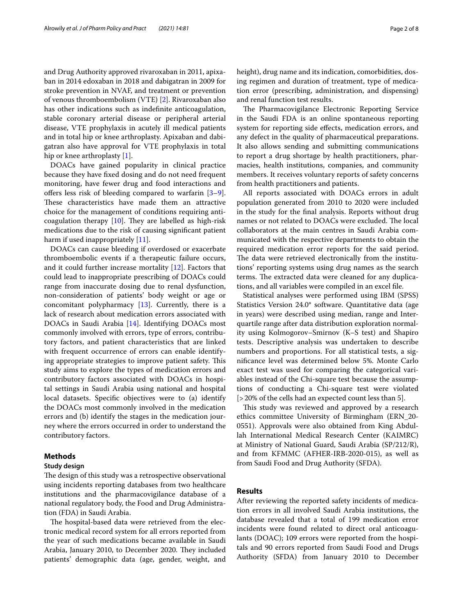and Drug Authority approved rivaroxaban in 2011, apixaban in 2014 edoxaban in 2018 and dabigatran in 2009 for stroke prevention in NVAF, and treatment or prevention of venous thromboembolism (VTE) [[2\]](#page-7-1). Rivaroxaban also has other indications such as indefnite anticoagulation, stable coronary arterial disease or peripheral arterial disease, VTE prophylaxis in acutely ill medical patients and in total hip or knee arthroplasty. Apixaban and dabigatran also have approval for VTE prophylaxis in total hip or knee arthroplasty [[1](#page-7-0)].

DOACs have gained popularity in clinical practice because they have fxed dosing and do not need frequent monitoring, have fewer drug and food interactions and offers less risk of bleeding compared to warfarin  $[3-9]$  $[3-9]$ . These characteristics have made them an attractive choice for the management of conditions requiring anticoagulation therapy  $[10]$  $[10]$ . They are labelled as high-risk medications due to the risk of causing signifcant patient harm if used inappropriately [\[11](#page-7-5)].

DOACs can cause bleeding if overdosed or exacerbate thromboembolic events if a therapeutic failure occurs, and it could further increase mortality  $[12]$ . Factors that could lead to inappropriate prescribing of DOACs could range from inaccurate dosing due to renal dysfunction, non-consideration of patients' body weight or age or concomitant polypharmacy [[13\]](#page-7-7). Currently, there is a lack of research about medication errors associated with DOACs in Saudi Arabia [[14\]](#page-7-8). Identifying DOACs most commonly involved with errors, type of errors, contributory factors, and patient characteristics that are linked with frequent occurrence of errors can enable identifying appropriate strategies to improve patient safety. This study aims to explore the types of medication errors and contributory factors associated with DOACs in hospital settings in Saudi Arabia using national and hospital local datasets. Specifc objectives were to (a) identify the DOACs most commonly involved in the medication errors and (b) identify the stages in the medication journey where the errors occurred in order to understand the contributory factors.

## **Methods**

#### **Study design**

The design of this study was a retrospective observational using incidents reporting databases from two healthcare institutions and the pharmacovigilance database of a national regulatory body, the Food and Drug Administration (FDA) in Saudi Arabia.

The hospital-based data were retrieved from the electronic medical record system for all errors reported from the year of such medications became available in Saudi Arabia, January 2010, to December 2020. They included patients' demographic data (age, gender, weight, and

height), drug name and its indication, comorbidities, dosing regimen and duration of treatment, type of medication error (prescribing, administration, and dispensing) and renal function test results.

The Pharmacovigilance Electronic Reporting Service in the Saudi FDA is an online spontaneous reporting system for reporting side efects, medication errors, and any defect in the quality of pharmaceutical preparations. It also allows sending and submitting communications to report a drug shortage by health practitioners, pharmacies, health institutions, companies, and community members. It receives voluntary reports of safety concerns from health practitioners and patients.

All reports associated with DOACs errors in adult population generated from 2010 to 2020 were included in the study for the fnal analysis. Reports without drug names or not related to DOACs were excluded. The local collaborators at the main centres in Saudi Arabia communicated with the respective departments to obtain the required medication error reports for the said period. The data were retrieved electronically from the institutions' reporting systems using drug names as the search terms. The extracted data were cleaned for any duplications, and all variables were compiled in an excel fle.

Statistical analyses were performed using IBM (SPSS) Statistics Version 24.0\* software. Quantitative data (age in years) were described using median, range and Interquartile range after data distribution exploration normality using Kolmogorov–Smirnov (K–S test) and Shapiro tests. Descriptive analysis was undertaken to describe numbers and proportions. For all statistical tests, a signifcance level was determined below 5%. Monte Carlo exact test was used for comparing the categorical variables instead of the Chi-square test because the assumptions of conducting a Chi-square test were violated [>20% of the cells had an expected count less than 5].

This study was reviewed and approved by a research ethics committee University of Birmingham (ERN\_20- 0551). Approvals were also obtained from King Abdullah International Medical Research Center (KAIMRC) at Ministry of National Guard, Saudi Arabia (SP/212/R), and from KFMMC (AFHER-IRB-2020-015), as well as from Saudi Food and Drug Authority (SFDA).

## **Results**

After reviewing the reported safety incidents of medication errors in all involved Saudi Arabia institutions, the database revealed that a total of 199 medication error incidents were found related to direct oral anticoagulants (DOAC); 109 errors were reported from the hospitals and 90 errors reported from Saudi Food and Drugs Authority (SFDA) from January 2010 to December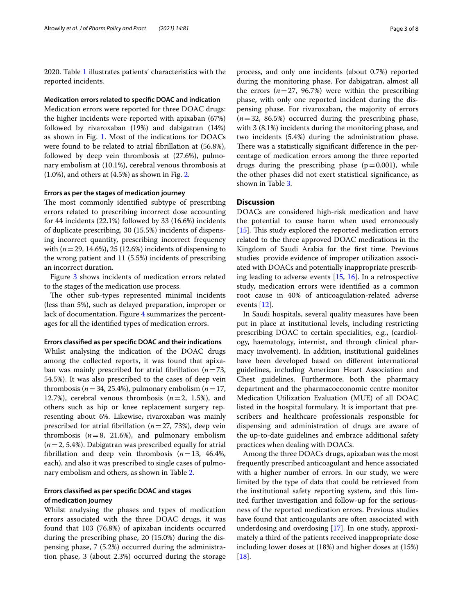2020. Table [1](#page-3-0) illustrates patients' characteristics with the reported incidents.

## **Medication errors related to specifc DOAC and indication**

Medication errors were reported for three DOAC drugs: the higher incidents were reported with apixaban (67%) followed by rivaroxaban (19%) and dabigatran (14%) as shown in Fig. [1](#page-4-0). Most of the indications for DOACs were found to be related to atrial fbrillation at (56.8%), followed by deep vein thrombosis at (27.6%), pulmonary embolism at (10.1%), cerebral venous thrombosis at  $(1.0\%)$ , and others at  $(4.5\%)$  as shown in Fig. [2.](#page-4-1)

#### **Errors as per the stages of medication journey**

The most commonly identified subtype of prescribing errors related to prescribing incorrect dose accounting for 44 incidents (22.1%) followed by 33 (16.6%) incidents of duplicate prescribing, 30 (15.5%) incidents of dispensing incorrect quantity, prescribing incorrect frequency with (*n*=29, 14.6%), 25 (12.6%) incidents of dispensing to the wrong patient and 11 (5.5%) incidents of prescribing an incorrect duration.

Figure [3](#page-4-2) shows incidents of medication errors related to the stages of the medication use process.

The other sub-types represented minimal incidents (less than 5%), such as delayed preparation, improper or lack of documentation. Figure [4](#page-5-0) summarizes the percentages for all the identifed types of medication errors.

## **Errors classifed as per specifc DOAC and their indications**

Whilst analysing the indication of the DOAC drugs among the collected reports, it was found that apixaban was mainly prescribed for atrial fbrillation (*n*=73, 54.5%). It was also prescribed to the cases of deep vein thrombosis ( $n=34$ , 25.4%), pulmonary embolism ( $n=17$ , 12.7%), cerebral venous thrombosis  $(n=2, 1.5)$ , and others such as hip or knee replacement surgery representing about 6%. Likewise, rivaroxaban was mainly prescribed for atrial fbrillation (*n*=27, 73%), deep vein thrombosis  $(n=8, 21.6%)$ , and pulmonary embolism (*n*=2, 5.4%). Dabigatran was prescribed equally for atrial fbrillation and deep vein thrombosis (*n*=13, 46.4%, each), and also it was prescribed to single cases of pulmonary embolism and others, as shown in Table [2.](#page-5-1)

## **Errors classifed as per specifc DOAC and stages of medication journey**

Whilst analysing the phases and types of medication errors associated with the three DOAC drugs, it was found that 103 (76.8%) of apixaban incidents occurred during the prescribing phase, 20 (15.0%) during the dispensing phase, 7 (5.2%) occurred during the administration phase, 3 (about 2.3%) occurred during the storage process, and only one incidents (about 0.7%) reported during the monitoring phase. For dabigatran, almost all the errors  $(n=27, 96.7%)$  were within the prescribing phase, with only one reported incident during the dispensing phase. For rivaroxaban, the majority of errors (*n*=32, 86.5%) occurred during the prescribing phase, with 3 (8.1%) incidents during the monitoring phase, and two incidents (5.4%) during the administration phase. There was a statistically significant difference in the percentage of medication errors among the three reported drugs during the prescribing phase  $(p=0.001)$ , while the other phases did not exert statistical signifcance, as shown in Table [3.](#page-6-0)

## **Discussion**

DOACs are considered high-risk medication and have the potential to cause harm when used erroneously  $[15]$  $[15]$ . This study explored the reported medication errors related to the three approved DOAC medications in the Kingdom of Saudi Arabia for the frst time. Previous studies provide evidence of improper utilization associated with DOACs and potentially inappropriate prescribing leading to adverse events [[15,](#page-7-9) [16\]](#page-7-10). In a retrospective study, medication errors were identifed as a common root cause in 40% of anticoagulation-related adverse events [\[12](#page-7-6)].

In Saudi hospitals, several quality measures have been put in place at institutional levels, including restricting prescribing DOAC to certain specialities, e.g., (cardiology, haematology, internist, and through clinical pharmacy involvement). In addition, institutional guidelines have been developed based on diferent international guidelines, including American Heart Association and Chest guidelines. Furthermore, both the pharmacy department and the pharmacoeconomic centre monitor Medication Utilization Evaluation (MUE) of all DOAC listed in the hospital formulary. It is important that prescribers and healthcare professionals responsible for dispensing and administration of drugs are aware of the up-to-date guidelines and embrace additional safety practices when dealing with DOACs.

Among the three DOACs drugs, apixaban was the most frequently prescribed anticoagulant and hence associated with a higher number of errors. In our study, we were limited by the type of data that could be retrieved from the institutional safety reporting system, and this limited further investigation and follow-up for the seriousness of the reported medication errors. Previous studies have found that anticoagulants are often associated with underdosing and overdosing [[17](#page-7-11)]. In one study, approximately a third of the patients received inappropriate dose including lower doses at (18%) and higher doses at (15%) [[18\]](#page-7-12).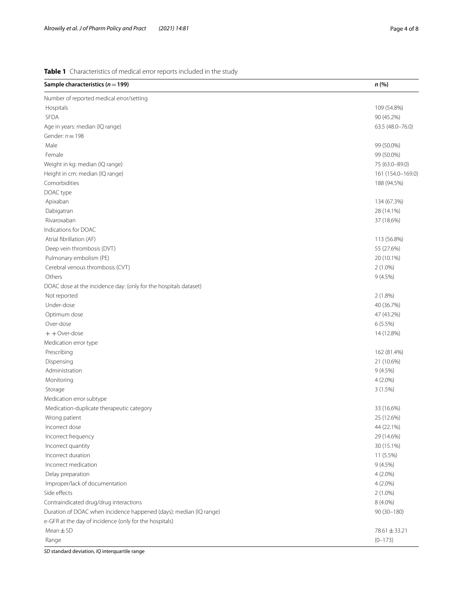## <span id="page-3-0"></span>**Table 1** Characteristics of medical error reports included in the study

| Sample characteristics ( $n = 199$ )                               | n(%)              |
|--------------------------------------------------------------------|-------------------|
| Number of reported medical error/setting                           |                   |
| Hospitals                                                          | 109 (54.8%)       |
| <b>SFDA</b>                                                        | 90 (45.2%)        |
| Age in years: median (IQ range)                                    | 63.5 (48.0-76.0)  |
| Gender: $n = 198$                                                  |                   |
| Male                                                               | 99 (50.0%)        |
| Female                                                             | 99 (50.0%)        |
| Weight in kg: median (IQ range)                                    | 75 (63.0-89.0)    |
| Height in cm: median (IQ range)                                    | 161 (154.0-169.0) |
| Comorbidities                                                      | 188 (94.5%)       |
| DOAC type                                                          |                   |
| Apixaban                                                           | 134 (67.3%)       |
| Dabigatran                                                         | 28 (14.1%)        |
| Rivaroxaban                                                        | 37 (18.6%)        |
| Indications for DOAC                                               |                   |
| Atrial fibrillation (AF)                                           | 113 (56.8%)       |
| Deep vein thrombosis (DVT)                                         | 55 (27.6%)        |
| Pulmonary embolism (PE)                                            | 20 (10.1%)        |
| Cerebral venous thrombosis (CVT)                                   | $2(1.0\%)$        |
| Others                                                             | 9(4.5%)           |
| DOAC dose at the incidence day: (only for the hospitals dataset)   |                   |
| Not reported                                                       | 2(1.8%)           |
| Under-dose                                                         | 40 (36.7%)        |
| Optimum dose                                                       | 47 (43.2%)        |
| Over-dose                                                          | 6(5.5%)           |
| $+ +$ Over-dose                                                    | 14 (12.8%)        |
| Medication error type                                              |                   |
| Prescribing                                                        | 162 (81.4%)       |
| Dispensing                                                         | 21 (10.6%)        |
| Administration                                                     | 9(4.5%)           |
| Monitoring                                                         | 4 (2.0%)          |
| Storage                                                            | 3(1.5%)           |
| Medication error subtype                                           |                   |
| Medication-duplicate therapeutic category                          | 33 (16.6%)        |
| Wrong patient                                                      | 25 (12.6%)        |
| Incorrect dose                                                     | 44 (22.1%)        |
| Incorrect frequency                                                | 29 (14.6%)        |
| Incorrect quantity                                                 | 30 (15.1%)        |
| Incorrect duration                                                 | 11 (5.5%)         |
| Incorrect medication                                               | 9(4.5%)           |
| Delay preparation                                                  | $4(2.0\%)$        |
| Improper/lack of documentation                                     | $4(2.0\%)$        |
| Side effects                                                       | $2(1.0\%)$        |
| Contraindicated drug/drug interactions                             | 8 (4.0%)          |
| Duration of DOAC when incidence happened (days): median (IQ range) | $90(30-180)$      |
| e-GFR at the day of incidence (only for the hospitals)             |                   |
| $Mean \pm SD$                                                      | 78.61 ± 33.21     |
| Range                                                              | $(0-173)$         |

*SD* standard deviation, *IQ* interquartile range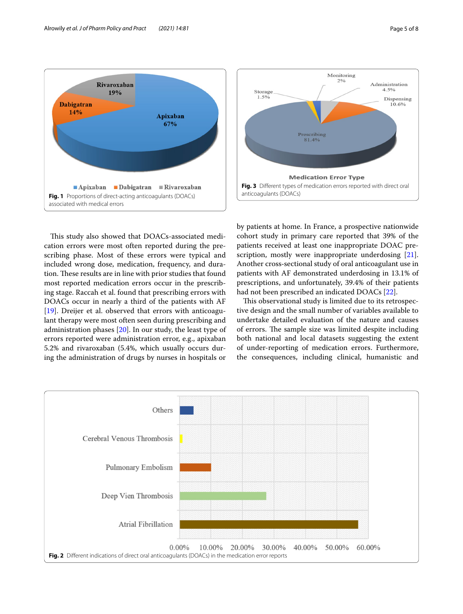<span id="page-4-0"></span>This study also showed that DOACs-associated medication errors were most often reported during the prescribing phase. Most of these errors were typical and included wrong dose, medication, frequency, and duration. These results are in line with prior studies that found most reported medication errors occur in the prescribing stage. Raccah et al. found that prescribing errors with DOACs occur in nearly a third of the patients with AF [[19\]](#page-7-13). Dreijer et al. observed that errors with anticoagulant therapy were most often seen during prescribing and administration phases [[20\]](#page-7-14). In our study, the least type of errors reported were administration error, e.g., apixaban 5.2% and rivaroxaban (5.4%, which usually occurs during the administration of drugs by nurses in hospitals or <span id="page-4-2"></span>by patients at home. In France, a prospective nationwide cohort study in primary care reported that 39% of the patients received at least one inappropriate DOAC pre-scription, mostly were inappropriate underdosing [\[21](#page-7-15)]. Another cross‐sectional study of oral anticoagulant use in patients with AF demonstrated underdosing in 13.1% of prescriptions, and unfortunately, 39.4% of their patients had not been prescribed an indicated DOACs [\[22](#page-7-16)].

This observational study is limited due to its retrospective design and the small number of variables available to undertake detailed evaluation of the nature and causes of errors. The sample size was limited despite including both national and local datasets suggesting the extent of under-reporting of medication errors. Furthermore, the consequences, including clinical, humanistic and







<span id="page-4-1"></span>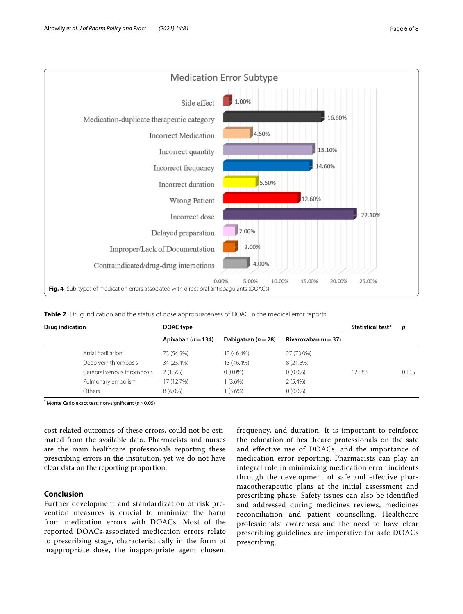

<span id="page-5-1"></span><span id="page-5-0"></span>**Table 2** Drug indication and the status of dose appropriateness of DOAC in the medical error reports

| <b>Drug indication</b> |                            | DOAC type              |                         |                          | Statistical test* | p     |
|------------------------|----------------------------|------------------------|-------------------------|--------------------------|-------------------|-------|
|                        |                            | Apixaban ( $n = 134$ ) | Dabigatran ( $n = 28$ ) | Rivaroxaban ( $n = 37$ ) |                   |       |
|                        | Atrial fibrillation        | 73 (54.5%)             | 13 (46.4%)              | 27 (73.0%)               |                   |       |
|                        | Deep vein thrombosis       | 34 (25.4%)             | 13 (46.4%)              | 8 (21.6%)                |                   |       |
|                        | Cerebral venous thrombosis | 2(1.5%)                | $0(0.0\%)$              | $0(0.0\%)$               | 12.883            | 0.115 |
|                        | Pulmonary embolism         | 17 (12.7%)             | $1(3.6\%)$              | $2(5.4\%)$               |                   |       |
|                        | Others                     | $8(6.0\%)$             | $1(3.6\%)$              | $0(0.0\%)$               |                   |       |

\* Monte Carlo exact test: non-signifcant (*p*>0.05)

cost-related outcomes of these errors, could not be estimated from the available data. Pharmacists and nurses are the main healthcare professionals reporting these prescribing errors in the institution, yet we do not have clear data on the reporting proportion.

## **Conclusion**

Further development and standardization of risk prevention measures is crucial to minimize the harm from medication errors with DOACs. Most of the reported DOACs-associated medication errors relate to prescribing stage, characteristically in the form of inappropriate dose, the inappropriate agent chosen,

frequency, and duration. It is important to reinforce the education of healthcare professionals on the safe and effective use of DOACs, and the importance of medication error reporting. Pharmacists can play an integral role in minimizing medication error incidents through the development of safe and effective pharmacotherapeutic plans at the initial assessment and prescribing phase. Safety issues can also be identified and addressed during medicines reviews, medicines reconciliation and patient counselling. Healthcare professionals' awareness and the need to have clear prescribing guidelines are imperative for safe DOACs prescribing.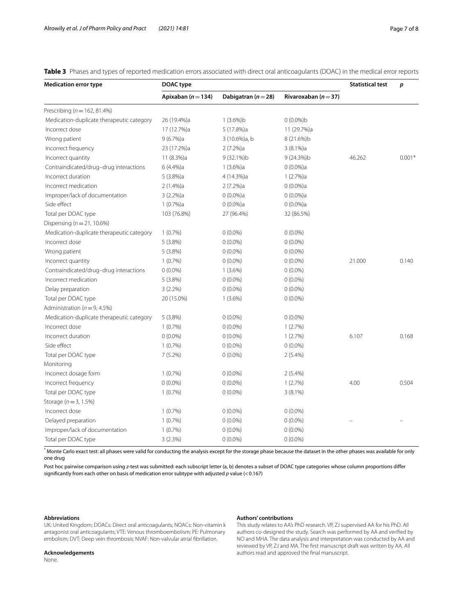<span id="page-6-0"></span>**Table 3** Phases and types of reported medication errors associated with direct oral anticoagulants (DOAC) in the medical error reports

| <b>Medication error type</b>              | DOAC type              |                         |                          | <b>Statistical test</b> | p        |
|-------------------------------------------|------------------------|-------------------------|--------------------------|-------------------------|----------|
|                                           | Apixaban ( $n = 134$ ) | Dabigatran ( $n = 28$ ) | Rivaroxaban ( $n = 37$ ) |                         |          |
| Prescribing ( $n = 162, 81.4\%$ )         |                        |                         |                          |                         |          |
| Medication-duplicate therapeutic category | 26 (19.4%)a            | $1(3.6\%)b$             | $0(0.0\%)$ b             |                         |          |
| Incorrect dose                            | 17 (12.7%)a            | 5 (17.8%)a              | 11 (29.7%)a              |                         |          |
| Wrong patient                             | 9(6.7%)a               | 3 (10.6%)a, b           | 8 (21.6%)b               |                         |          |
| Incorrect frequency                       | 23 (17.2%)a            | 2(7.2%)a                | $3(8.1\%)a$              |                         |          |
| Incorrect quantity                        | 11 (8.3%)a             | 9 (32.1%)b              | 9 (24.3%)b               | 46.262                  | $0.001*$ |
| Contraindicated/drug-drug interactions    | 6 (4.4%)a              | 1(3.6%)a                | $0(0.0\%)a$              |                         |          |
| Incorrect duration                        | 5(3.8%)a               | 4 (14.3%)a              | 1(2.7%)a                 |                         |          |
| Incorrect medication                      | 2(1.4%)a               | 2(7.2%)a                | $0(0.0\%)$ a             |                         |          |
| Improper/lack of documentation            | 3 (2.2%)a              | $0(0.0\%)a$             | $0(0.0\%)a$              |                         |          |
| Side effect                               | 1(0.7%)a               | $0(0.0\%)a$             | $0(0.0\%)a$              |                         |          |
| Total per DOAC type                       | 103 (76.8%)            | 27 (96.4%)              | 32 (86.5%)               |                         |          |
| Dispensing ( $n = 21, 10.6\%$ )           |                        |                         |                          |                         |          |
| Medication-duplicate therapeutic category | 1(0.7%)                | $0(0.0\%)$              | $0(0.0\%)$               |                         |          |
| Incorrect dose                            | 5(3.8%)                | $0(0.0\%)$              | $0(0.0\%)$               |                         |          |
| Wrong patient                             | 5(3.8%)                | $0(0.0\%)$              | $0(0.0\%)$               |                         |          |
| Incorrect quantity                        | 1(0.7%)                | $0(0.0\%)$              | $0(0.0\%)$               | 21.000                  | 0.140    |
| Contraindicated/drug-drug interactions    | $0(0.0\%)$             | $1(3.6\%)$              | $0(0.0\%)$               |                         |          |
| Incorrect medication                      | 5(3.8%)                | $0(0.0\%)$              | $0(0.0\%)$               |                         |          |
| Delay preparation                         | $3(2.2\%)$             | $0(0.0\%)$              | $0(0.0\%)$               |                         |          |
| Total per DOAC type                       | 20 (15.0%)             | $1(3.6\%)$              | $0(0.0\%)$               |                         |          |
| Administration ( $n = 9, 4.5\%$ )         |                        |                         |                          |                         |          |
| Medication-duplicate therapeutic category | 5(3.8%)                | $0(0.0\%)$              | $0(0.0\%)$               |                         |          |
| Incorrect dose                            | $1(0.7\%)$             | $0(0.0\%)$              | 1(2.7%)                  |                         |          |
| Incorrect duration                        | $0(0.0\%)$             | $0(0.0\%)$              | 1(2.7%)                  | 6.107                   | 0.168    |
| Side effect                               | 1(0.7%)                | $0(0.0\%)$              | $0(0.0\%)$               |                         |          |
| Total per DOAC type                       | 7(5.2%)                | $0(0.0\%)$              | $2(5.4\%)$               |                         |          |
| Monitoring                                |                        |                         |                          |                         |          |
| Incorrect dosage form                     | $1(0.7\%)$             | $0(0.0\%)$              | $2(5.4\%)$               |                         |          |
| Incorrect frequency                       | $0(0.0\%)$             | $0(0.0\%)$              | 1(2.7%)                  | 4.00                    | 0.504    |
| Total per DOAC type                       | $1(0.7\%)$             | $0(0.0\%)$              | $3(8.1\%)$               |                         |          |
| Storage ( $n = 3, 1.5\%)$                 |                        |                         |                          |                         |          |
| Incorrect dose                            | 1(0.7%)                | $0(0.0\%)$              | $0(0.0\%)$               |                         |          |
| Delayed preparation                       | 1(0.7%)                | $0(0.0\%)$              | $0(0.0\%)$               |                         |          |
| Improper/lack of documentation            | 1(0.7%)                | $0(0.0\%)$              | $0(0.0\%)$               |                         |          |
| Total per DOAC type                       | 3(2.3%)                | $0(0.0\%)$              | $0(0.0\%)$               |                         |          |

\* Monte Carlo exact test: all phases were valid for conducting the analysis except for the storage phase because the dataset in the other phases was available for only one drug

Post hoc pairwise comparison using z-test was submitted: each subscript letter (a, b) denotes a subset of DOAC type categories whose column proportions differ signifcantly from each other on basis of medication error subtype with adjusted *p* value (<0.167)

#### **Abbreviations**

#### **Authors' contributions**

UK: United Kingdom; DOACs: Direct oral anticoagulants; NOACs: Non-vitamin k antagonist oral anticoagulants; VTE: Venous thromboembolism; PE: Pulmonary embolism; DVT: Deep vein thrombosis; NVAF: Non-valvular atrial fbrillation.

#### **Acknowledgements**

None.

This study relates to AA's PhD research. VP, ZJ supervised AA for his PhD. All authors co-designed the study. Search was performed by AA and verifed by NO and MHA. The data analysis and interpretation was conducted by AA and reviewed by VP, ZJ and MA. The frst manuscript draft was written by AA. All authors read and approved the fnal manuscript.